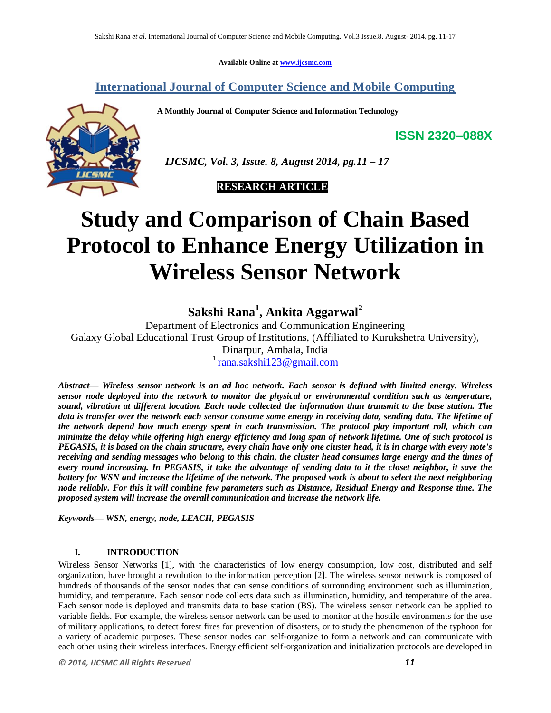**Available Online at www.ijcsmc.com**

## **International Journal of Computer Science and Mobile Computing**

 **A Monthly Journal of Computer Science and Information Technology**



 *IJCSMC, Vol. 3, Issue. 8, August 2014, pg.11 – 17*

 **RESEARCH ARTICLE**

# **Study and Comparison of Chain Based Protocol to Enhance Energy Utilization in Wireless Sensor Network**

**Sakshi Rana<sup>1</sup> , Ankita Aggarwal<sup>2</sup>**

Department of Electronics and Communication Engineering Galaxy Global Educational Trust Group of Institutions, (Affiliated to Kurukshetra University), Dinarpur, Ambala, India  $\frac{1}{1}$ rana.sakshi $\frac{123}{29}$ gmail.com

*Abstract— Wireless sensor network is an ad hoc network. Each sensor is defined with limited energy. Wireless sensor node deployed into the network to monitor the physical or environmental condition such as temperature, sound, vibration at different location. Each node collected the information than transmit to the base station. The data is transfer over the network each sensor consume some energy in receiving data, sending data. The lifetime of the network depend how much energy spent in each transmission. The protocol play important roll, which can minimize the delay while offering high energy efficiency and long span of network lifetime. One of such protocol is PEGASIS, it is based on the chain structure, every chain have only one cluster head, it is in charge with every note's receiving and sending messages who belong to this chain, the cluster head consumes large energy and the times of every round increasing. In PEGASIS, it take the advantage of sending data to it the closet neighbor, it save the battery for WSN and increase the lifetime of the network. The proposed work is about to select the next neighboring node reliably. For this it will combine few parameters such as Distance, Residual Energy and Response time. The proposed system will increase the overall communication and increase the network life.*

*Keywords— WSN, energy, node, LEACH, PEGASIS*

## **I. INTRODUCTION**

Wireless Sensor Networks [1], with the characteristics of low energy consumption, low cost, distributed and self organization, have brought a revolution to the information perception [2]. The wireless sensor network is composed of hundreds of thousands of the sensor nodes that can sense conditions of surrounding environment such as illumination, humidity, and temperature. Each sensor node collects data such as illumination, humidity, and temperature of the area. Each sensor node is deployed and transmits data to base station (BS). The wireless sensor network can be applied to variable fields. For example, the wireless sensor network can be used to monitor at the hostile environments for the use of military applications, to detect forest fires for prevention of disasters, or to study the phenomenon of the typhoon for a variety of academic purposes. These sensor nodes can self-organize to form a network and can communicate with each other using their wireless interfaces. Energy efficient self-organization and initialization protocols are developed in

**ISSN 2320–088X**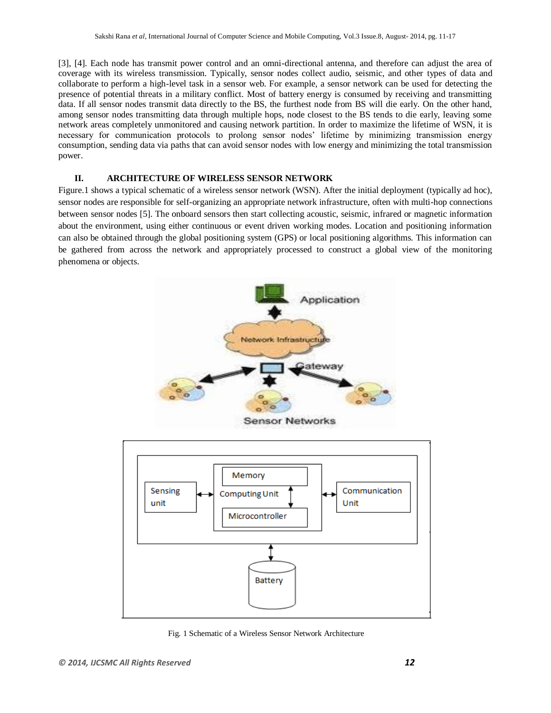[3], [4]. Each node has transmit power control and an omni-directional antenna, and therefore can adjust the area of coverage with its wireless transmission. Typically, sensor nodes collect audio, seismic, and other types of data and collaborate to perform a high-level task in a sensor web. For example, a sensor network can be used for detecting the presence of potential threats in a military conflict. Most of battery energy is consumed by receiving and transmitting data. If all sensor nodes transmit data directly to the BS, the furthest node from BS will die early. On the other hand, among sensor nodes transmitting data through multiple hops, node closest to the BS tends to die early, leaving some network areas completely unmonitored and causing network partition. In order to maximize the lifetime of WSN, it is necessary for communication protocols to prolong sensor nodes' lifetime by minimizing transmission energy consumption, sending data via paths that can avoid sensor nodes with low energy and minimizing the total transmission power.

## **II. ARCHITECTURE OF WIRELESS SENSOR NETWORK**

Figure.1 shows a typical schematic of a wireless sensor network (WSN). After the initial deployment (typically ad hoc), sensor nodes are responsible for self-organizing an appropriate network infrastructure, often with multi-hop connections between sensor nodes [5]. The onboard sensors then start collecting acoustic, seismic, infrared or magnetic information about the environment, using either continuous or event driven working modes. Location and positioning information can also be obtained through the global positioning system (GPS) or local positioning algorithms. This information can be gathered from across the network and appropriately processed to construct a global view of the monitoring phenomena or objects.



Fig. 1 Schematic of a Wireless Sensor Network Architecture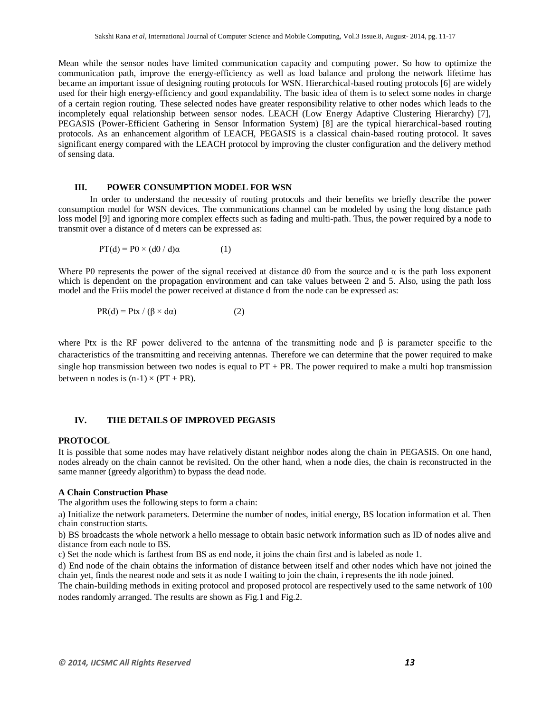Mean while the sensor nodes have limited communication capacity and computing power. So how to optimize the communication path, improve the energy-efficiency as well as load balance and prolong the network lifetime has became an important issue of designing routing protocols for WSN. Hierarchical-based routing protocols [6] are widely used for their high energy-efficiency and good expandability. The basic idea of them is to select some nodes in charge of a certain region routing. These selected nodes have greater responsibility relative to other nodes which leads to the incompletely equal relationship between sensor nodes. LEACH (Low Energy Adaptive Clustering Hierarchy) [7], PEGASIS (Power-Efficient Gathering in Sensor Information System) [8] are the typical hierarchical-based routing protocols. As an enhancement algorithm of LEACH, PEGASIS is a classical chain-based routing protocol. It saves significant energy compared with the LEACH protocol by improving the cluster configuration and the delivery method of sensing data.

#### **III. POWER CONSUMPTION MODEL FOR WSN**

In order to understand the necessity of routing protocols and their benefits we briefly describe the power consumption model for WSN devices. The communications channel can be modeled by using the long distance path loss model [9] and ignoring more complex effects such as fading and multi-path. Thus, the power required by a node to transmit over a distance of d meters can be expressed as:

$$
PT(d) = P0 \times (d0 / d)\alpha \tag{1}
$$

Where P0 represents the power of the signal received at distance d0 from the source and  $\alpha$  is the path loss exponent which is dependent on the propagation environment and can take values between 2 and 5. Also, using the path loss model and the Friis model the power received at distance d from the node can be expressed as:

$$
PR(d) = Ptx / (\beta \times d\alpha)
$$
 (2)

where Ptx is the RF power delivered to the antenna of the transmitting node and  $\beta$  is parameter specific to the characteristics of the transmitting and receiving antennas. Therefore we can determine that the power required to make single hop transmission between two nodes is equal to  $PT + PR$ . The power required to make a multi hop transmission between n nodes is  $(n-1) \times (PT + PR)$ .

## **IV. THE DETAILS OF IMPROVED PEGASIS**

#### **PROTOCOL**

It is possible that some nodes may have relatively distant neighbor nodes along the chain in PEGASIS. On one hand, nodes already on the chain cannot be revisited. On the other hand, when a node dies, the chain is reconstructed in the same manner (greedy algorithm) to bypass the dead node.

#### **A Chain Construction Phase**

The algorithm uses the following steps to form a chain:

a) Initialize the network parameters. Determine the number of nodes, initial energy, BS location information et al. Then chain construction starts.

b) BS broadcasts the whole network a hello message to obtain basic network information such as ID of nodes alive and distance from each node to BS.

c) Set the node which is farthest from BS as end node, it joins the chain first and is labeled as node 1.

d) End node of the chain obtains the information of distance between itself and other nodes which have not joined the chain yet, finds the nearest node and sets it as node I waiting to join the chain, i represents the ith node joined.

The chain-building methods in exiting protocol and proposed protocol are respectively used to the same network of 100 nodes randomly arranged. The results are shown as Fig.1 and Fig.2.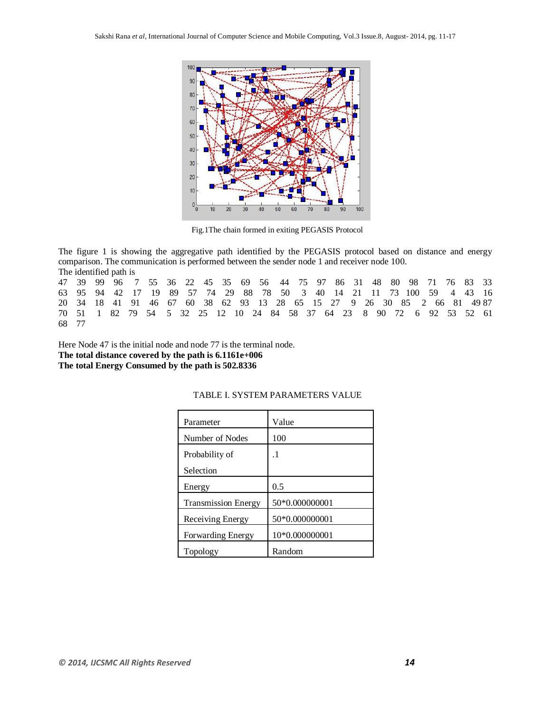

Fig.1The chain formed in exiting PEGASIS Protocol

The figure 1 is showing the aggregative path identified by the PEGASIS protocol based on distance and energy comparison. The communication is performed between the sender node 1 and receiver node 100. The identified path is

47 39 99 96 7 55 36 22 45 35 69 56 44 75 97 86 31 48 80 98 71 76 83 33 63 95 94 42 17 19 89 57 74 29 88 78 50 3 40 14 21 11 73 100 59 4 43 16 20 34 18 41 91 46 67 60 38 62 93 13 28 65 15 27 9 26 30 85 2 66 81 49 87 70 51 1 82 79 54 5 32 25 12 10 24 84 58 37 64 23 8 90 72 6 92 53 52 61 68 77

Here Node 47 is the initial node and node 77 is the terminal node. **The total distance covered by the path is 6.1161e+006 The total Energy Consumed by the path is 502.8336**

| Parameter                  | Value          |
|----------------------------|----------------|
| Number of Nodes            | 100            |
| Probability of             | $\cdot$ 1      |
| Selection                  |                |
| Energy                     | 0.5            |
| <b>Transmission Energy</b> | 50*0.000000001 |
| Receiving Energy           | 50*0.000000001 |
| <b>Forwarding Energy</b>   | 10*0.000000001 |
| Topology                   | Random         |

#### TABLE I. SYSTEM PARAMETERS VALUE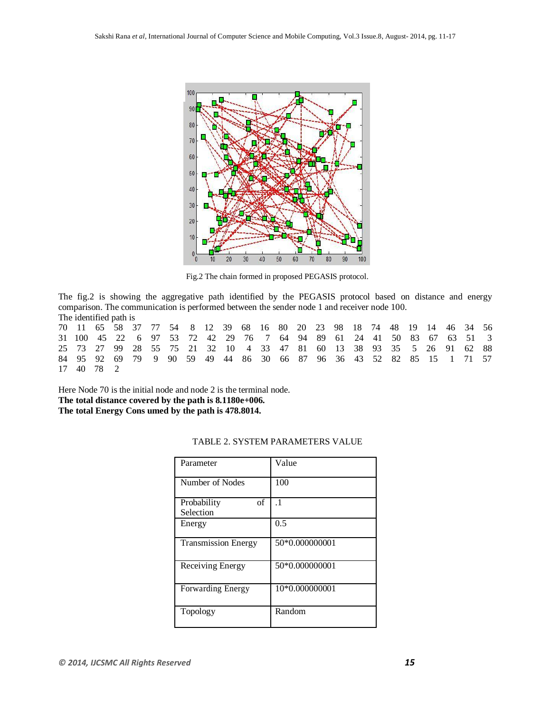

Fig.2 The chain formed in proposed PEGASIS protocol.

The fig.2 is showing the aggregative path identified by the PEGASIS protocol based on distance and energy comparison. The communication is performed between the sender node 1 and receiver node 100. The identified path is

70 11 65 58 37 77 54 8 12 39 68 16 80 20 23 98 18 74 48 19 14 46 34 56 31 100 45 22 6 97 53 72 42 29 76 7 64 94 89 61 24 41 50 83 67 63 51 3 25 73 27 99 28 55 75 21 32 10 4 33 47 81 60 13 38 93 35 5 26 91 62 88 84 95 92 69 79 9 90 59 49 44 86 30 66 87 96 36 43 52 82 85 15 1 71 57 17 40 78 2

Here Node 70 is the initial node and node 2 is the terminal node. **The total distance covered by the path is 8.1180e+006. The total Energy Cons umed by the path is 478.8014.**

| Parameter                      | Value          |
|--------------------------------|----------------|
| Number of Nodes                | 100            |
| Probability<br>of<br>Selection | $\cdot$ 1      |
| Energy                         | 0.5            |
| Transmission Energy            | 50*0.000000001 |
| Receiving Energy               | 50*0.000000001 |
| Forwarding Energy              | 10*0.000000001 |
| Topology                       | Random         |

## TABLE 2. SYSTEM PARAMETERS VALUE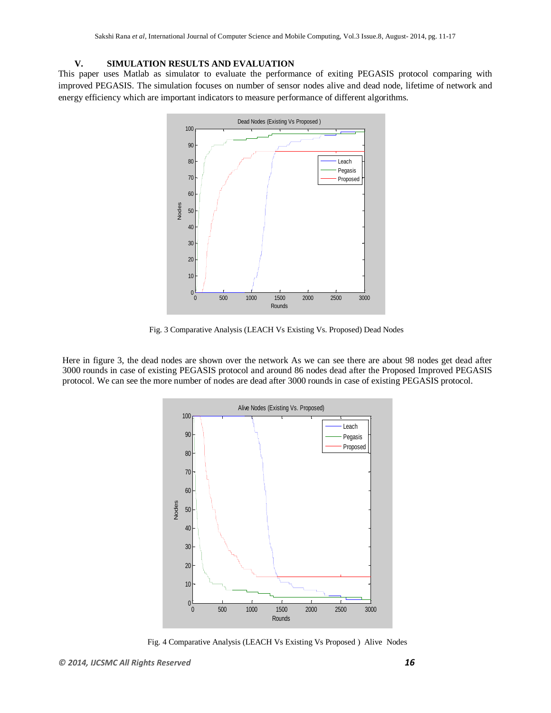## **V. SIMULATION RESULTS AND EVALUATION**

This paper uses Matlab as simulator to evaluate the performance of exiting PEGASIS protocol comparing with improved PEGASIS. The simulation focuses on number of sensor nodes alive and dead node, lifetime of network and energy efficiency which are important indicators to measure performance of different algorithms.



Fig. 3 Comparative Analysis (LEACH Vs Existing Vs. Proposed) Dead Nodes

Here in figure 3, the dead nodes are shown over the network As we can see there are about 98 nodes get dead after 3000 rounds in case of existing PEGASIS protocol and around 86 nodes dead after the Proposed Improved PEGASIS protocol. We can see the more number of nodes are dead after 3000 rounds in case of existing PEGASIS protocol.



Fig. 4 Comparative Analysis (LEACH Vs Existing Vs Proposed ) Alive Nodes